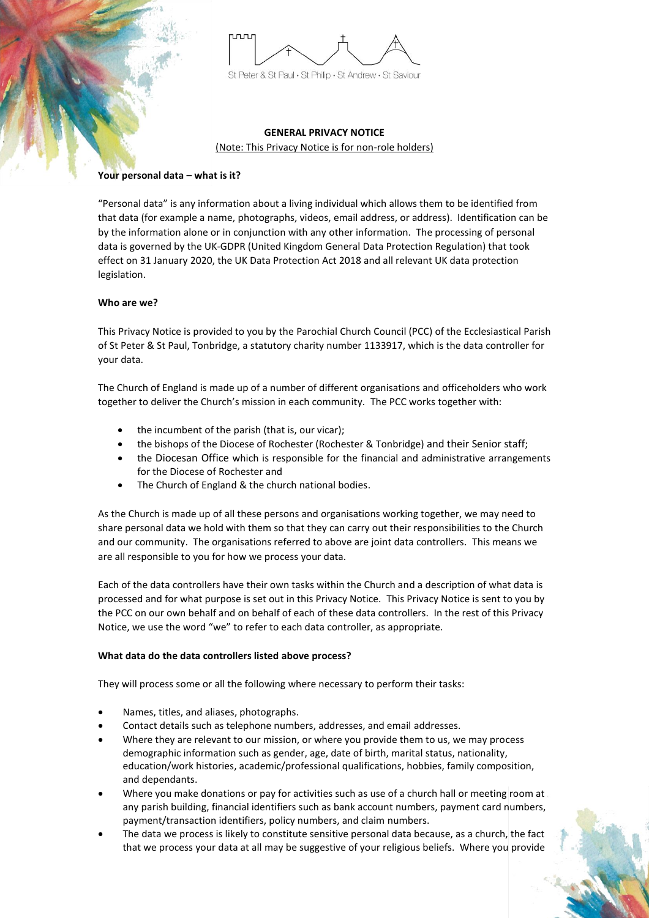

# **GENERAL PRIVACY NOTICE**

(Note: This Privacy Notice is for non-role holders)

# **Your personal data – what is it?**

"Personal data" is any information about a living individual which allows them to be identified from that data (for example a name, photographs, videos, email address, or address). Identification can be by the information alone or in conjunction with any other information. The processing of personal data is governed by the UK-GDPR (United Kingdom General Data Protection Regulation) that took effect on 31 January 2020, the UK Data Protection Act 2018 and all relevant UK data protection legislation.

# **Who are we?**

This Privacy Notice is provided to you by the Parochial Church Council (PCC) of the Ecclesiastical Parish of St Peter & St Paul, Tonbridge, a statutory charity number 1133917, which is the data controller for your data.

The Church of England is made up of a number of different organisations and officeholders who work together to deliver the Church's mission in each community. The PCC works together with:

- the incumbent of the parish (that is, our vicar);
- the bishops of the Diocese of Rochester (Rochester & Tonbridge) and their Senior staff;
- the Diocesan Office which is responsible for the financial and administrative arrangements for the Diocese of Rochester and
- The Church of England & the church national bodies.

As the Church is made up of all these persons and organisations working together, we may need to share personal data we hold with them so that they can carry out their responsibilities to the Church and our community. The organisations referred to above are joint data controllers. This means we are all responsible to you for how we process your data.

Each of the data controllers have their own tasks within the Church and a description of what data is processed and for what purpose is set out in this Privacy Notice. This Privacy Notice is sent to you by the PCC on our own behalf and on behalf of each of these data controllers. In the rest of this Privacy Notice, we use the word "we" to refer to each data controller, as appropriate.

## **What data do the data controllers listed above process?**

They will process some or all the following where necessary to perform their tasks:

- Names, titles, and aliases, photographs.
- Contact details such as telephone numbers, addresses, and email addresses.
- Where they are relevant to our mission, or where you provide them to us, we may process demographic information such as gender, age, date of birth, marital status, nationality, education/work histories, academic/professional qualifications, hobbies, family composition, and dependants.
- Where you make donations or pay for activities such as use of a church hall or meeting room at any parish building, financial identifiers such as bank account numbers, payment card numbers, payment/transaction identifiers, policy numbers, and claim numbers.
- The data we process is likely to constitute sensitive personal data because, as a church, the fact that we process your data at all may be suggestive of your religious beliefs. Where you provide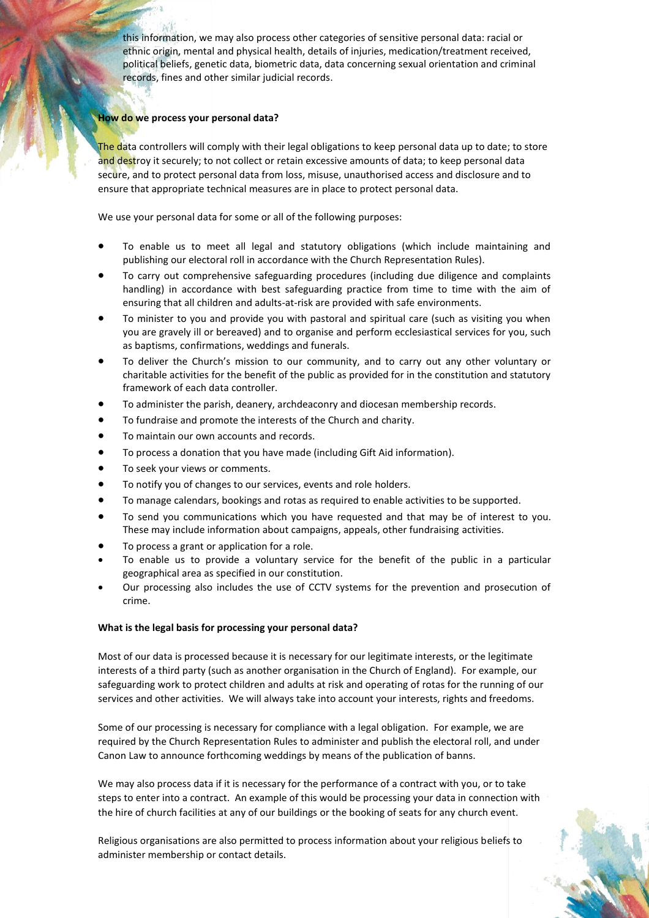this information, we may also process other categories of sensitive personal data: racial or ethnic origin, mental and physical health, details of injuries, medication/treatment received, political beliefs, genetic data, biometric data, data concerning sexual orientation and criminal records, fines and other similar judicial records.

# **How do we process your personal data?**

The data controllers will comply with their legal obligations to keep personal data up to date; to store and destroy it securely; to not collect or retain excessive amounts of data; to keep personal data secure, and to protect personal data from loss, misuse, unauthorised access and disclosure and to ensure that appropriate technical measures are in place to protect personal data.

We use your personal data for some or all of the following purposes:

- To enable us to meet all legal and statutory obligations (which include maintaining and publishing our electoral roll in accordance with the Church Representation Rules).
- To carry out comprehensive safeguarding procedures (including due diligence and complaints handling) in accordance with best safeguarding practice from time to time with the aim of ensuring that all children and adults-at-risk are provided with safe environments.
- To minister to you and provide you with pastoral and spiritual care (such as visiting you when you are gravely ill or bereaved) and to organise and perform ecclesiastical services for you, such as baptisms, confirmations, weddings and funerals.
- To deliver the Church's mission to our community, and to carry out any other voluntary or charitable activities for the benefit of the public as provided for in the constitution and statutory framework of each data controller.
- To administer the parish, deanery, archdeaconry and diocesan membership records.
- To fundraise and promote the interests of the Church and charity.
- To maintain our own accounts and records.
- To process a donation that you have made (including Gift Aid information).
- To seek your views or comments.
- To notify you of changes to our services, events and role holders.
- To manage calendars, bookings and rotas as required to enable activities to be supported.
- To send you communications which you have requested and that may be of interest to you. These may include information about campaigns, appeals, other fundraising activities.
- To process a grant or application for a role.
- To enable us to provide a voluntary service for the benefit of the public in a particular geographical area as specified in our constitution.
- Our processing also includes the use of CCTV systems for the prevention and prosecution of crime.

## **What is the legal basis for processing your personal data?**

Most of our data is processed because it is necessary for our legitimate interests, or the legitimate interests of a third party (such as another organisation in the Church of England). For example, our safeguarding work to protect children and adults at risk and operating of rotas for the running of our services and other activities. We will always take into account your interests, rights and freedoms.

Some of our processing is necessary for compliance with a legal obligation. For example, we are required by the Church Representation Rules to administer and publish the electoral roll, and under Canon Law to announce forthcoming weddings by means of the publication of banns.

We may also process data if it is necessary for the performance of a contract with you, or to take steps to enter into a contract. An example of this would be processing your data in connection with the hire of church facilities at any of our buildings or the booking of seats for any church event.

Religious organisations are also permitted to process information about your religious beliefs to administer membership or contact details.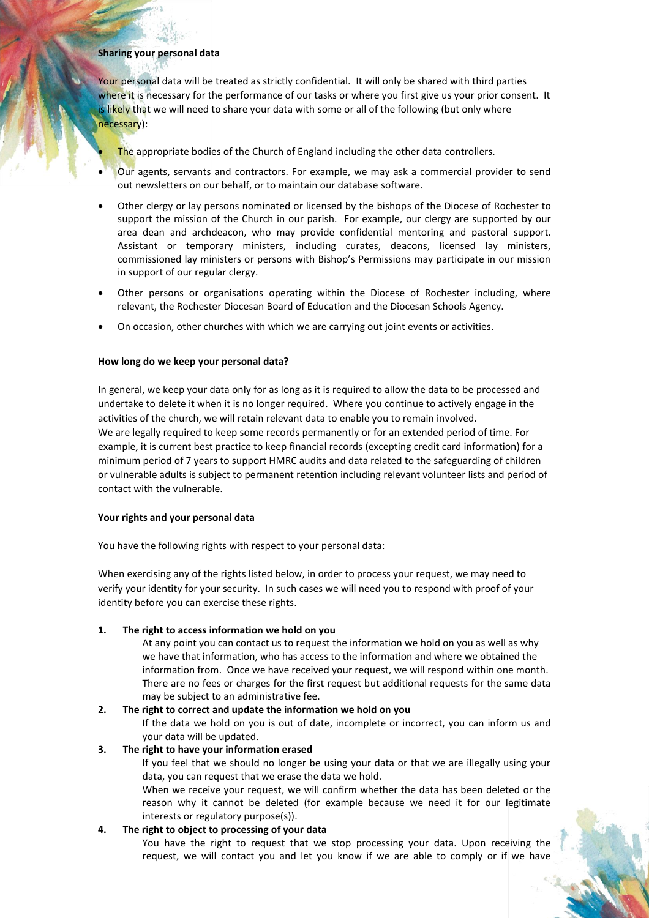## **Sharing your personal data**

Your personal data will be treated as strictly confidential. It will only be shared with third parties where it is necessary for the performance of our tasks or where you first give us your prior consent. It is likely that we will need to share your data with some or all of the following (but only where necessary):

The appropriate bodies of the Church of England including the other data controllers.

- Our agents, servants and contractors. For example, we may ask a commercial provider to send out newsletters on our behalf, or to maintain our database software.
- Other clergy or lay persons nominated or licensed by the bishops of the Diocese of Rochester to support the mission of the Church in our parish. For example, our clergy are supported by our area dean and archdeacon, who may provide confidential mentoring and pastoral support. Assistant or temporary ministers, including curates, deacons, licensed lay ministers, commissioned lay ministers or persons with Bishop's Permissions may participate in our mission in support of our regular clergy.
- Other persons or organisations operating within the Diocese of Rochester including, where relevant, the Rochester Diocesan Board of Education and the Diocesan Schools Agency.
- On occasion, other churches with which we are carrying out joint events or activities.

#### **How long do we keep your personal data?**

In general, we keep your data only for as long as it is required to allow the data to be processed and undertake to delete it when it is no longer required. Where you continue to actively engage in the activities of the church, we will retain relevant data to enable you to remain involved. We are legally required to keep some records permanently or for an extended period of time. For example, it is current best practice to keep financial records (excepting credit card information) for a minimum period of 7 years to support HMRC audits and data related to the safeguarding of children or vulnerable adults is subject to permanent retention including relevant volunteer lists and period of contact with the vulnerable.

#### **Your rights and your personal data**

You have the following rights with respect to your personal data:

When exercising any of the rights listed below, in order to process your request, we may need to verify your identity for your security. In such cases we will need you to respond with proof of your identity before you can exercise these rights.

## **1. The right to access information we hold on you**

At any point you can contact us to request the information we hold on you as well as why we have that information, who has access to the information and where we obtained the information from. Once we have received your request, we will respond within one month. There are no fees or charges for the first request but additional requests for the same data may be subject to an administrative fee.

#### **2. The right to correct and update the information we hold on you**

If the data we hold on you is out of date, incomplete or incorrect, you can inform us and your data will be updated.

#### **3. The right to have your information erased**

If you feel that we should no longer be using your data or that we are illegally using your data, you can request that we erase the data we hold.

When we receive your request, we will confirm whether the data has been deleted or the reason why it cannot be deleted (for example because we need it for our legitimate interests or regulatory purpose(s)).

## **4. The right to object to processing of your data**

You have the right to request that we stop processing your data. Upon receiving the request, we will contact you and let you know if we are able to comply or if we have